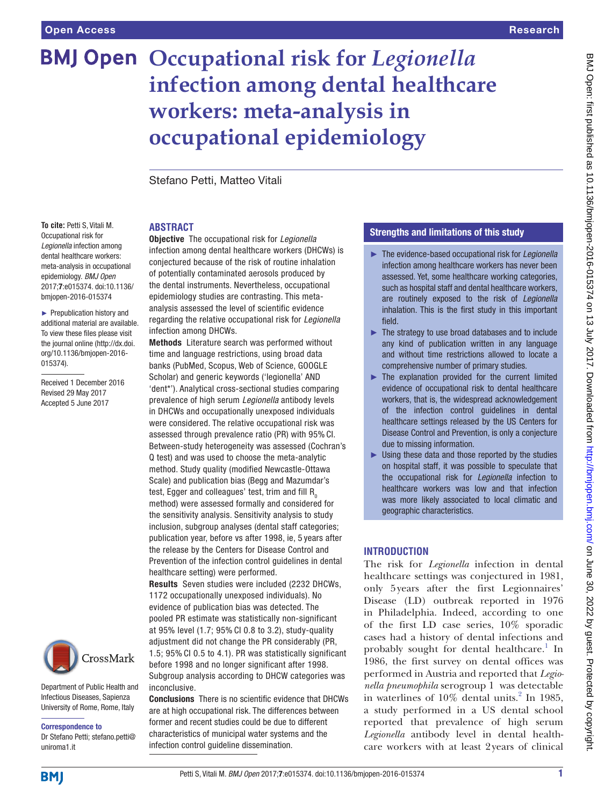# **BMJ Open Occupational risk for Legionella infection among dental healthcare workers: meta-analysis in occupational epidemiology**

Stefano Petti, Matteo Vitali

# **ABSTRACT**

**To cite:** Petti S, Vitali M. Occupational risk for *Legionella* infection among dental healthcare workers: meta-analysis in occupational epidemiology. *BMJ Open* 2017;7:e015374. doi:10.1136/ bmjopen-2016-015374

► Prepublication history and additional material are available. To view these files please visit the journal online [\(http://dx.doi.](http://dx.doi.org/10.1136/bmjopen-2016-015374) [org/10.1136/bmjopen-2016-](http://dx.doi.org/10.1136/bmjopen-2016-015374) [015374\)](http://dx.doi.org/10.1136/bmjopen-2016-015374).

Received 1 December 2016 Revised 29 May 2017 Accepted 5 June 2017



Department of Public Health and Infectious Diseases, Sapienza University of Rome, Rome, Italy

Correspondence to Dr Stefano Petti; stefano.petti@

Objective The occupational risk for *Legionella* infection among dental healthcare workers (DHCWs) is conjectured because of the risk of routine inhalation of potentially contaminated aerosols produced by the dental instruments. Nevertheless, occupational epidemiology studies are contrasting. This metaanalysis assessed the level of scientific evidence regarding the relative occupational risk for *Legionella* infection among DHCWs.

Methods Literature search was performed without time and language restrictions, using broad data banks (PubMed, Scopus, Web of Science, GOOGLE Scholar) and generic keywords ('legionella' AND 'dent\*'). Analytical cross-sectional studies comparing prevalence of high serum *Legionella* antibody levels in DHCWs and occupationally unexposed individuals were considered. The relative occupational risk was assessed through prevalence ratio (PR) with 95% CI. Between-study heterogeneity was assessed (Cochran's Q test) and was used to choose the meta-analytic method. Study quality (modified Newcastle-Ottawa Scale) and publication bias (Begg and Mazumdar's test, Egger and colleagues' test, trim and fill  $R_0$ method) were assessed formally and considered for the sensitivity analysis. Sensitivity analysis to study inclusion, subgroup analyses (dental staff categories; publication year, before vs after 1998, ie, 5 years after the release by the Centers for Disease Control and Prevention of the infection control guidelines in dental healthcare setting) were performed.

Results Seven studies were included (2232 DHCWs, 1172 occupationally unexposed individuals). No evidence of publication bias was detected. The pooled PR estimate was statistically non-significant at 95% level (1.7; 95% CI 0.8 to 3.2), study-quality adjustment did not change the PR considerably (PR, 1.5; 95% CI 0.5 to 4.1). PR was statistically significant before 1998 and no longer significant after 1998.

Subgroup analysis according to DHCW categories was inconclusive.

Conclusions There is no scientific evidence that DHCWs are at high occupational risk. The differences between former and recent studies could be due to different characteristics of municipal water systems and the infection control guideline dissemination.

# Strengths and limitations of this study

- ► The evidence-based occupational risk for *Legionella* infection among healthcare workers has never been assessed. Yet, some healthcare working categories, such as hospital staff and dental healthcare workers, are routinely exposed to the risk of *Legionella* inhalation. This is the first study in this important field.
- ► The strategy to use broad databases and to include any kind of publication written in any language and without time restrictions allowed to locate a comprehensive number of primary studies.
- ► The explanation provided for the current limited evidence of occupational risk to dental healthcare workers, that is, the widespread acknowledgement of the infection control guidelines in dental healthcare settings released by the US Centers for Disease Control and Prevention, is only a conjecture due to missing information.
- $\blacktriangleright$  Using these data and those reported by the studies on hospital staff, it was possible to speculate that the occupational risk for *Legionella* infection to healthcare workers was low and that infection was more likely associated to local climatic and geographic characteristics.

# **Introduction**

The risk for *Legionella* infection in dental healthcare settings was conjectured in 1981, only 5years after the first Legionnaires' Disease (LD) outbreak reported in 1976 in Philadelphia. Indeed, according to one of the first LD case series, 10% sporadic cases had a history of dental infections and probably sought for dental healthcare.<sup>1</sup> In 1986, the first survey on dental offices was performed in Austria and reported that *Legionella pneumophila* serogroup 1 was detectable in waterlines of  $10\%$  dental units.<sup>2</sup> In 1985, a study performed in a US dental school reported that prevalence of high serum *Legionella* antibody level in dental healthcare workers with at least 2years of clinical

uniroma1.it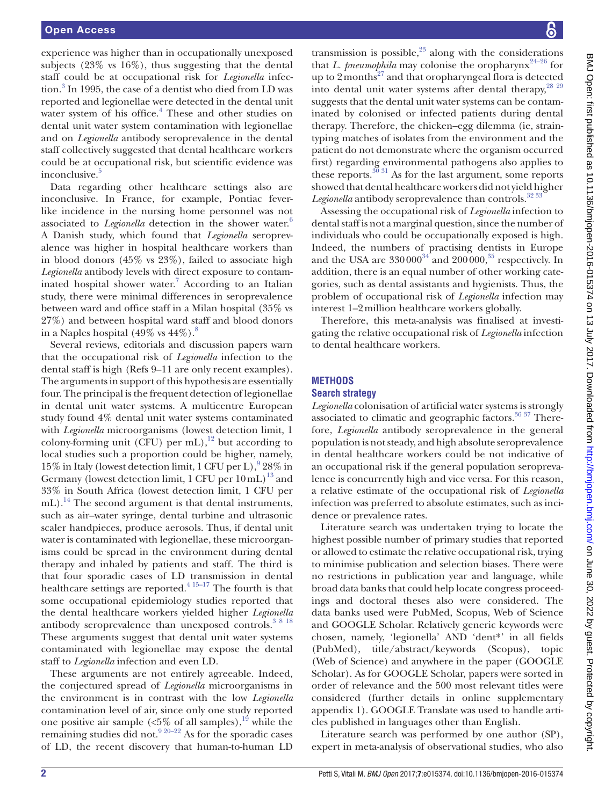experience was higher than in occupationally unexposed subjects (23% vs 16%), thus suggesting that the dental staff could be at occupational risk for *Legionella* infec-tion.<sup>[3](#page-7-2)</sup> In 1995, the case of a dentist who died from LD was reported and legionellae were detected in the dental unit water system of his office.<sup>[4](#page-7-3)</sup> These and other studies on dental unit water system contamination with legionellae and on *Legionella* antibody seroprevalence in the dental staff collectively suggested that dental healthcare workers could be at occupational risk, but scientific evidence was inconclusive.<sup>[5](#page-7-4)</sup>

Data regarding other healthcare settings also are inconclusive. In France, for example, Pontiac feverlike incidence in the nursing home personnel was not associated to *Legionella* detection in the shower water.<sup>[6](#page-7-5)</sup> A Danish study, which found that *Legionella* seroprevalence was higher in hospital healthcare workers than in blood donors (45% vs 23%), failed to associate high *Legionella* antibody levels with direct exposure to contam-inated hospital shower water.<sup>[7](#page-7-6)</sup> According to an Italian study, there were minimal differences in seroprevalence between ward and office staff in a Milan hospital (35% vs 27%) and between hospital ward staff and blood donors in a Naples hospital  $(49\% \text{ vs } 44\%)$ .<sup>[8](#page-7-7)</sup>

Several reviews, editorials and discussion papers warn that the occupational risk of *Legionella* infection to the dental staff is high (Refs [9–11](#page-7-8) are only recent examples). The arguments in support of this hypothesis are essentially four. The principal is the frequent detection of legionellae in dental unit water systems. A multicentre European study found 4% dental unit water systems contaminated with *Legionella* microorganisms (lowest detection limit, 1 colony-forming unit (CFU) per mL), $^{12}$  but according to local studies such a proportion could be higher, namely, 15% in Italy (lowest detection limit, 1 CFU per L),  $928\%$  $928\%$  in Germany (lowest detection limit, 1 CFU per  $10 \text{ mL}$ )<sup>[13](#page-7-10)</sup> and 33% in South Africa (lowest detection limit, 1 CFU per mL).<sup>14</sup> The second argument is that dental instruments, such as air–water syringe, dental turbine and ultrasonic scaler handpieces, produce aerosols. Thus, if dental unit water is contaminated with legionellae, these microorganisms could be spread in the environment during dental therapy and inhaled by patients and staff. The third is that four sporadic cases of LD transmission in dental healthcare settings are reported. $4^{15-17}$  The fourth is that some occupational epidemiology studies reported that the dental healthcare workers yielded higher *Legionella* antibody seroprevalence than unexposed controls.<sup>[3 8 18](#page-7-2)</sup> These arguments suggest that dental unit water systems contaminated with legionellae may expose the dental staff to *Legionella* infection and even LD.

These arguments are not entirely agreeable. Indeed, the conjectured spread of *Legionella* microorganisms in the environment is in contrast with the low *Legionella* contamination level of air, since only one study reported one positive air sample ( $\langle 5\%$  of all samples), <sup>19</sup> while the remaining studies did not.<sup>9 20-22</sup> As for the sporadic cases of LD, the recent discovery that human-to-human LD

transmission is possible, $23$  along with the considerations that *L. pneumophila* may colonise the oropharynx<sup>24–26</sup> for up to  $2$  months<sup>27</sup> and that oropharyngeal flora is detected into dental unit water systems after dental therapy,<sup>28 29</sup> suggests that the dental unit water systems can be contaminated by colonised or infected patients during dental therapy. Therefore, the chicken–egg dilemma (ie, straintyping matches of isolates from the environment and the patient do not demonstrate where the organism occurred first) regarding environmental pathogens also applies to these reports.<sup>[30 31](#page-8-5)</sup> As for the last argument, some reports showed that dental healthcare workers did not yield higher Legionella antibody seroprevalence than controls.<sup>32</sup> <sup>33</sup>

Assessing the occupational risk of *Legionella* infection to dental staff is not a marginal question, since the number of individuals who could be occupationally exposed is high. Indeed, the numbers of practising dentists in Europe and the USA are  $330\,000^{34}$  $330\,000^{34}$  $330\,000^{34}$  and  $200\,000$ ,  $35$  respectively. In addition, there is an equal number of other working categories, such as dental assistants and hygienists. Thus, the problem of occupational risk of *Legionella* infection may interest 1–2million healthcare workers globally.

Therefore, this meta-analysis was finalised at investigating the relative occupational risk of *Legionella* infection to dental healthcare workers.

# **Methods**

#### **Search strategy**

*Legionella* colonisation of artificial water systems is strongly associated to climatic and geographic factors.<sup>36 37</sup> Therefore, *Legionella* antibody seroprevalence in the general population is not steady, and high absolute seroprevalence in dental healthcare workers could be not indicative of an occupational risk if the general population seroprevalence is concurrently high and vice versa. For this reason, a relative estimate of the occupational risk of *Legionella* infection was preferred to absolute estimates, such as incidence or prevalence rates.

Literature search was undertaken trying to locate the highest possible number of primary studies that reported or allowed to estimate the relative occupational risk, trying to minimise publication and selection biases. There were no restrictions in publication year and language, while broad data banks that could help locate congress proceedings and doctoral theses also were considered. The data banks used were PubMed, Scopus, Web of Science and GOOGLE Scholar. Relatively generic keywords were chosen, namely, 'legionella' AND 'dent\*' in all fields (PubMed), title/abstract/keywords (Scopus), topic (Web of Science) and anywhere in the paper (GOOGLE Scholar). As for GOOGLE Scholar, papers were sorted in order of relevance and the 500 most relevant titles were considered (further details in online [supplementary](https://dx.doi.org/10.1136/bmjopen-2016-015374)  [appendix 1\)](https://dx.doi.org/10.1136/bmjopen-2016-015374). GOOGLE Translate was used to handle articles published in languages other than English.

Literature search was performed by one author (SP), expert in meta-analysis of observational studies, who also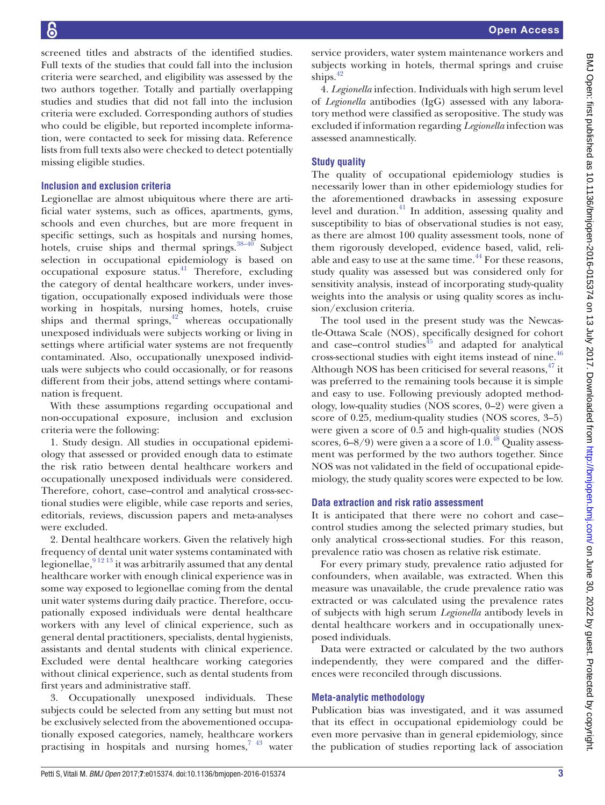Open Access

screened titles and abstracts of the identified studies. Full texts of the studies that could fall into the inclusion criteria were searched, and eligibility was assessed by the two authors together. Totally and partially overlapping studies and studies that did not fall into the inclusion criteria were excluded. Corresponding authors of studies who could be eligible, but reported incomplete information, were contacted to seek for missing data. Reference lists from full texts also were checked to detect potentially missing eligible studies.

# **Inclusion and exclusion criteria**

Legionellae are almost ubiquitous where there are artificial water systems, such as offices, apartments, gyms, schools and even churches, but are more frequent in specific settings, such as hospitals and nursing homes, hotels, cruise ships and thermal springs. $38-40$  Subject selection in occupational epidemiology is based on occupational exposure status[.41](#page-8-11) Therefore, excluding the category of dental healthcare workers, under investigation, occupationally exposed individuals were those working in hospitals, nursing homes, hotels, cruise ships and thermal springs, $42^\circ$  whereas occupationally unexposed individuals were subjects working or living in settings where artificial water systems are not frequently contaminated. Also, occupationally unexposed individuals were subjects who could occasionally, or for reasons different from their jobs, attend settings where contamination is frequent.

With these assumptions regarding occupational and non-occupational exposure, inclusion and exclusion criteria were the following:

1. Study design. All studies in occupational epidemiology that assessed or provided enough data to estimate the risk ratio between dental healthcare workers and occupationally unexposed individuals were considered. Therefore, cohort, case–control and analytical cross-sectional studies were eligible, while case reports and series, editorials, reviews, discussion papers and meta-analyses were excluded.

2. Dental healthcare workers. Given the relatively high frequency of dental unit water systems contaminated with legionellae,  $9^{12}$ <sup>13</sup> it was arbitrarily assumed that any dental healthcare worker with enough clinical experience was in some way exposed to legionellae coming from the dental unit water systems during daily practice. Therefore, occupationally exposed individuals were dental healthcare workers with any level of clinical experience, such as general dental practitioners, specialists, dental hygienists, assistants and dental students with clinical experience. Excluded were dental healthcare working categories without clinical experience, such as dental students from first years and administrative staff.

3. Occupationally unexposed individuals. These subjects could be selected from any setting but must not be exclusively selected from the abovementioned occupationally exposed categories, namely, healthcare workers practising in hospitals and nursing homes, $743$  water

service providers, water system maintenance workers and subjects working in hotels, thermal springs and cruise ships. $42$ 

4. *Legionella* infection. Individuals with high serum level of *Legionella* antibodies (IgG) assessed with any laboratory method were classified as seropositive. The study was excluded if information regarding *Legionella* infection was assessed anamnestically.

# **Study quality**

The quality of occupational epidemiology studies is necessarily lower than in other epidemiology studies for the aforementioned drawbacks in assessing exposure level and duration. $41$  In addition, assessing quality and susceptibility to bias of observational studies is not easy, as there are almost 100 quality assessment tools, none of them rigorously developed, evidence based, valid, reliable and easy to use at the same time. $^{44}$  For these reasons, study quality was assessed but was considered only for sensitivity analysis, instead of incorporating study-quality weights into the analysis or using quality scores as inclusion/exclusion criteria.

The tool used in the present study was the Newcastle-Ottawa Scale (NOS), specifically designed for cohort and case–control studies $45$  and adapted for analytical cross-sectional studies with eight items instead of nine.<sup>[46](#page-8-15)</sup> Although NOS has been criticised for several reasons,  $47$  it was preferred to the remaining tools because it is simple and easy to use. Following previously adopted methodology, low-quality studies (NOS scores, 0–2) were given a score of 0.25, medium-quality studies (NOS scores, 3–5) were given a score of 0.5 and high-quality studies (NOS scores,  $6-8/9$ ) were given a a score of 1.0.<sup>48</sup> Quality assessment was performed by the two authors together. Since NOS was not validated in the field of occupational epidemiology, the study quality scores were expected to be low.

# **Data extraction and risk ratio assessment**

It is anticipated that there were no cohort and case– control studies among the selected primary studies, but only analytical cross-sectional studies. For this reason, prevalence ratio was chosen as relative risk estimate.

For every primary study, prevalence ratio adjusted for confounders, when available, was extracted. When this measure was unavailable, the crude prevalence ratio was extracted or was calculated using the prevalence rates of subjects with high serum *Legionella* antibody levels in dental healthcare workers and in occupationally unexposed individuals.

Data were extracted or calculated by the two authors independently, they were compared and the differences were reconciled through discussions.

# **Meta-analytic methodology**

Publication bias was investigated, and it was assumed that its effect in occupational epidemiology could be even more pervasive than in general epidemiology, since the publication of studies reporting lack of association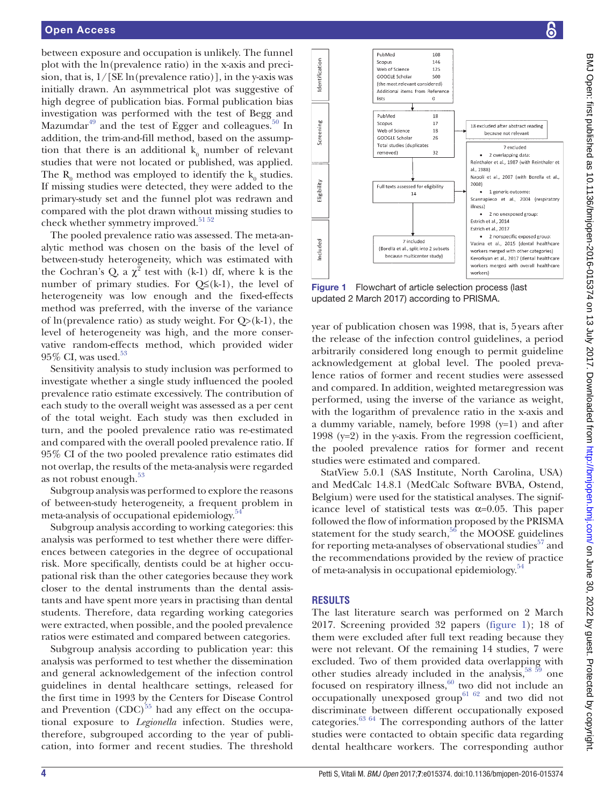between exposure and occupation is unlikely. The funnel plot with the ln(prevalence ratio) in the x-axis and precision, that is,  $1/$ [SE ln(prevalence ratio)], in the y-axis was initially drawn. An asymmetrical plot was suggestive of high degree of publication bias. Formal publication bias investigation was performed with the test of Begg and Mazumdar<sup>49</sup> and the test of Egger and colleagues.<sup>50</sup> In addition, the trim-and-fill method, based on the assumption that there is an additional  $\mathbf{k}_0$  number of relevant studies that were not located or published, was applied. The  $R_0$  method was employed to identify the  $k_0$  studies. If missing studies were detected, they were added to the primary-study set and the funnel plot was redrawn and compared with the plot drawn without missing studies to check whether symmetry improved.<sup>[51 52](#page-8-20)</sup>

The pooled prevalence ratio was assessed. The meta-analytic method was chosen on the basis of the level of between-study heterogeneity, which was estimated with the Cochran's Q, a  $\chi^2$  test with (k-1) df, where k is the number of primary studies. For  $Q\leq (k-1)$ , the level of heterogeneity was low enough and the fixed-effects method was preferred, with the inverse of the variance of ln(prevalence ratio) as study weight. For  $Q>(k-1)$ , the level of heterogeneity was high, and the more conservative random-effects method, which provided wider  $95\%$  CI, was used.<sup>53</sup>

Sensitivity analysis to study inclusion was performed to investigate whether a single study influenced the pooled prevalence ratio estimate excessively. The contribution of each study to the overall weight was assessed as a per cent of the total weight. Each study was then excluded in turn, and the pooled prevalence ratio was re-estimated and compared with the overall pooled prevalence ratio. If 95% CI of the two pooled prevalence ratio estimates did not overlap, the results of the meta-analysis were regarded as not robust enough. $53$ 

Subgroup analysis was performed to explore the reasons of between-study heterogeneity, a frequent problem in meta-analysis of occupational epidemiology.<sup>5</sup>

Subgroup analysis according to working categories: this analysis was performed to test whether there were differences between categories in the degree of occupational risk. More specifically, dentists could be at higher occupational risk than the other categories because they work closer to the dental instruments than the dental assistants and have spent more years in practising than dental students. Therefore, data regarding working categories were extracted, when possible, and the pooled prevalence ratios were estimated and compared between categories.

Subgroup analysis according to publication year: this analysis was performed to test whether the dissemination and general acknowledgement of the infection control guidelines in dental healthcare settings, released for the first time in 1993 by the Centers for Disease Control and Prevention  $(CDC)^{55}$  had any effect on the occupational exposure to *Legionella* infection. Studies were, therefore, subgrouped according to the year of publication, into former and recent studies. The threshold



<span id="page-3-0"></span>Figure 1 Flowchart of article selection process (last updated 2 March 2017) according to PRISMA.

year of publication chosen was 1998, that is, 5years after the release of the infection control guidelines, a period arbitrarily considered long enough to permit guideline acknowledgement at global level. The pooled prevalence ratios of former and recent studies were assessed and compared. In addition, weighted metaregression was performed, using the inverse of the variance as weight, with the logarithm of prevalence ratio in the x-axis and a dummy variable, namely, before 1998 (y=1) and after 1998 (y=2) in the y-axis. From the regression coefficient, the pooled prevalence ratios for former and recent studies were estimated and compared.

StatView 5.0.1 (SAS Institute, North Carolina, USA) and MedCalc 14.8.1 (MedCalc Software BVBA, Ostend, Belgium) were used for the statistical analyses. The significance level of statistical tests was  $\alpha$ =0.05. This paper followed the flow of information proposed by the PRISMA statement for the study search, $56$  the MOOSE guidelines for reporting meta-analyses of observational studies $57$  and the recommendations provided by the review of practice of meta-analysis in occupational epidemiology.<sup>[54](#page-8-22)</sup>

# **Results**

The last literature search was performed on 2 March 2017. Screening provided 32 papers [\(figure](#page-3-0) 1); 18 of them were excluded after full text reading because they were not relevant. Of the remaining 14 studies, 7 were excluded. Two of them provided data overlapping with other studies already included in the analysis,  $58\,59$  one focused on respiratory illness, $60$  two did not include an occupationally unexposed group<sup>61 62</sup> and two did not discriminate between different occupationally exposed categories.[63 64](#page-8-29) The corresponding authors of the latter studies were contacted to obtain specific data regarding dental healthcare workers. The corresponding author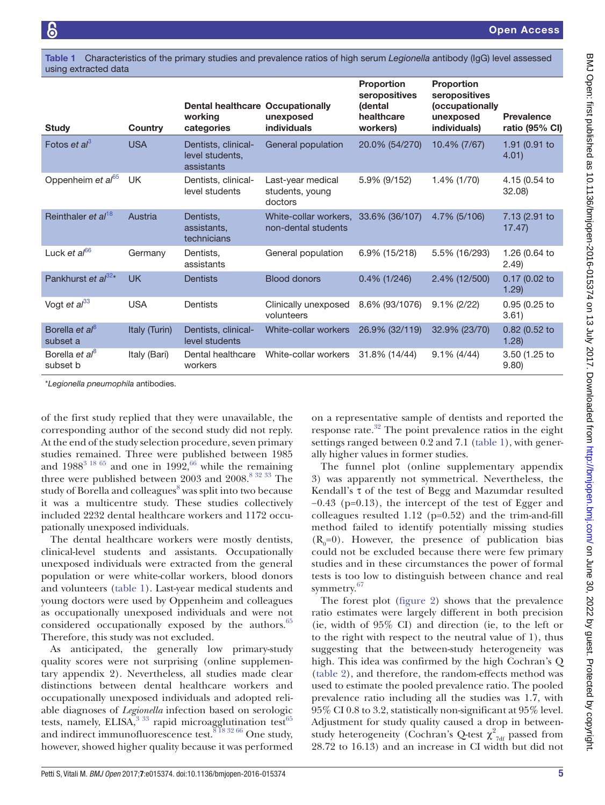<span id="page-4-0"></span>Table 1 Characteristics of the primary studies and prevalence ratios of high serum *Legionella* antibody (IgG) level assessed using extracted data

| <b>Study</b>                           | Country       | <b>Dental healthcare Occupationally</b><br>working<br>categories | unexposed<br>individuals                        | <b>Proportion</b><br>seropositives<br><b>(dental</b><br>healthcare<br>workers) | <b>Proportion</b><br>seropositives<br>(occupationally<br>unexposed<br>individuals) | <b>Prevalence</b><br>ratio (95% CI) |
|----------------------------------------|---------------|------------------------------------------------------------------|-------------------------------------------------|--------------------------------------------------------------------------------|------------------------------------------------------------------------------------|-------------------------------------|
| Fotos et $a^{3}$                       | <b>USA</b>    | Dentists, clinical-<br>level students.<br>assistants             | General population                              | 20.0% (54/270)                                                                 | 10.4% (7/67)                                                                       | 1.91 (0.91 to<br>4.01)              |
| Oppenheim et al <sup>65</sup>          | <b>UK</b>     | Dentists, clinical-<br>level students                            | Last-year medical<br>students, young<br>doctors | 5.9% (9/152)                                                                   | 1.4% (1/70)                                                                        | 4.15 (0.54 to<br>32.08              |
| Reinthaler et al <sup>18</sup>         | Austria       | Dentists,<br>assistants,<br>technicians                          | White-collar workers.<br>non-dental students    | 33.6% (36/107)                                                                 | 4.7% (5/106)                                                                       | 7.13 (2.91 to<br>17.47              |
| Luck et $a^{66}$                       | Germany       | Dentists,<br>assistants                                          | General population                              | 6.9% (15/218)                                                                  | 5.5% (16/293)                                                                      | 1.26 (0.64 to<br>(2.49)             |
| Pankhurst et al <sup>32*</sup>         | <b>UK</b>     | <b>Dentists</b>                                                  | <b>Blood donors</b>                             | $0.4\%$ (1/246)                                                                | 2.4% (12/500)                                                                      | 0.17 (0.02 to<br>1.29)              |
| Vogt et $al^{33}$                      | <b>USA</b>    | Dentists                                                         | Clinically unexposed<br>volunteers              | 8.6% (93/1076)                                                                 | $9.1\% (2/22)$                                                                     | $0.95(0.25)$ to<br>3.61             |
| Borella et al <sup>8</sup><br>subset a | Italy (Turin) | Dentists, clinical-<br>level students                            | White-collar workers                            | 26.9% (32/119)                                                                 | 32.9% (23/70)                                                                      | 0.82 (0.52 to<br>1.28               |
| Borella et al <sup>8</sup><br>subset b | Italy (Bari)  | Dental healthcare<br>workers                                     | White-collar workers                            | 31.8% (14/44)                                                                  | $9.1\% (4/44)$                                                                     | 3.50 (1.25 to<br>9.80)              |

\**Legionella pneumophila* antibodies.

of the first study replied that they were unavailable, the corresponding author of the second study did not reply. At the end of the study selection procedure, seven primary studies remained. Three were published between 1985 and  $1988^{3}$  18 65 and one in  $1992,66$  while the remaining three were published between 2003 and 2008.<sup>[8 32 33](#page-7-7)</sup> The study of Borella and colleagues<sup>[8](#page-7-7)</sup> was split into two because it was a multicentre study. These studies collectively included 2232 dental healthcare workers and 1172 occupationally unexposed individuals.

The dental healthcare workers were mostly dentists, clinical-level students and assistants. Occupationally unexposed individuals were extracted from the general population or were white-collar workers, blood donors and volunteers [\(table](#page-4-0) 1). Last-year medical students and young doctors were used by Oppenheim and colleagues as occupationally unexposed individuals and were not considered occupationally exposed by the authors.<sup>65</sup> Therefore, this study was not excluded.

As anticipated, the generally low primary-study quality scores were not surprising (online [supplemen](https://dx.doi.org/10.1136/bmjopen-2016-015374)[tary appendix 2](https://dx.doi.org/10.1136/bmjopen-2016-015374)). Nevertheless, all studies made clear distinctions between dental healthcare workers and occupationally unexposed individuals and adopted reliable diagnoses of *Legionella* infection based on serologic tests, namely, ELISA,  $333$  rapid microagglutination test<sup>65</sup> and indirect immunofluorescence test.<sup>[8 18 32 66](#page-7-7)</sup> One study, however, showed higher quality because it was performed

on a representative sample of dentists and reported the response rate. $32$  The point prevalence ratios in the eight settings ranged between 0.2 and 7.1 [\(table](#page-4-0) 1), with generally higher values in former studies.

The funnel plot (online [supplementary appendix](https://dx.doi.org/10.1136/bmjopen-2016-015374)  [3](https://dx.doi.org/10.1136/bmjopen-2016-015374)) was apparently not symmetrical. Nevertheless, the Kendall's τ of the test of Begg and Mazumdar resulted −0.43 (p=0.13), the intercept of the test of Egger and colleagues resulted 1.12 (p=0.52) and the trim-and-fill method failed to identify potentially missing studies  $(R_0=0)$ . However, the presence of publication bias could not be excluded because there were few primary studies and in these circumstances the power of formal tests is too low to distinguish between chance and real symmetry.<sup>[67](#page-8-34)</sup>

The forest plot [\(figure](#page-5-0) 2) shows that the prevalence ratio estimates were largely different in both precision (ie, width of 95% CI) and direction (ie, to the left or to the right with respect to the neutral value of 1), thus suggesting that the between-study heterogeneity was high. This idea was confirmed by the high Cochran's Q [\(table](#page-5-1) 2), and therefore, the random-effects method was used to estimate the pooled prevalence ratio. The pooled prevalence ratio including all the studies was 1.7, with 95% CI 0.8 to 3.2, statistically non-significant at 95% level. Adjustment for study quality caused a drop in betweenstudy heterogeneity (Cochran's Q-test  $\chi^2_{\text{7df}}$  passed from 28.72 to 16.13) and an increase in CI width but did not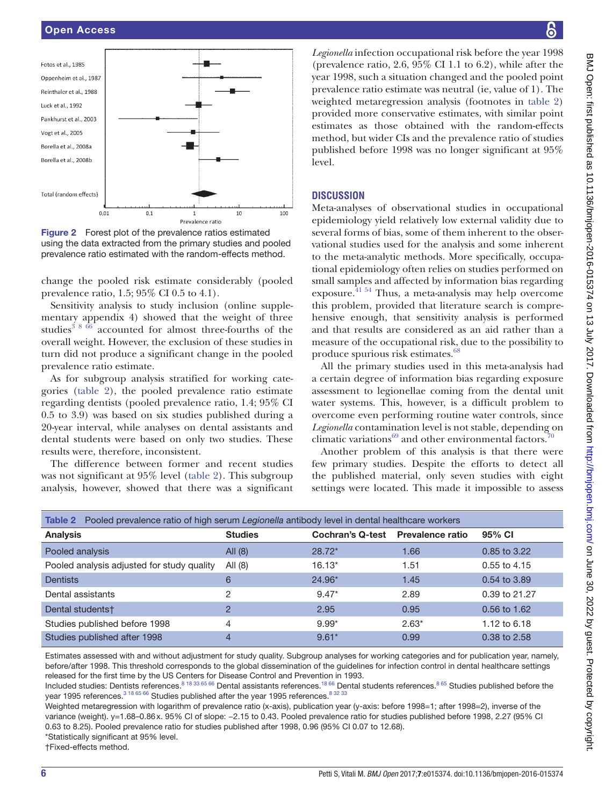

<span id="page-5-0"></span>Figure 2 Forest plot of the prevalence ratios estimated using the data extracted from the primary studies and pooled prevalence ratio estimated with the random-effects method.

change the pooled risk estimate considerably (pooled prevalence ratio, 1.5; 95% CI 0.5 to 4.1).

Sensitivity analysis to study inclusion (online [supple](https://dx.doi.org/10.1136/bmjopen-2016-015374)[mentary appendix 4](https://dx.doi.org/10.1136/bmjopen-2016-015374)) showed that the weight of three studies<sup>386</sup> accounted for almost three-fourths of the overall weight. However, the exclusion of these studies in turn did not produce a significant change in the pooled prevalence ratio estimate.

As for subgroup analysis stratified for working categories [\(table](#page-5-1) 2), the pooled prevalence ratio estimate regarding dentists (pooled prevalence ratio, 1.4; 95% CI 0.5 to 3.9) was based on six studies published during a 20-year interval, while analyses on dental assistants and dental students were based on only two studies. These results were, therefore, inconsistent.

The difference between former and recent studies was not significant at 95% level [\(table](#page-5-1) 2). This subgroup analysis, however, showed that there was a significant

*Legionella* infection occupational risk before the year 1998 (prevalence ratio, 2.6, 95% CI 1.1 to 6.2), while after the year 1998, such a situation changed and the pooled point prevalence ratio estimate was neutral (ie, value of 1). The weighted metaregression analysis (footnotes in [table](#page-5-1) 2) provided more conservative estimates, with similar point estimates as those obtained with the random-effects method, but wider CIs and the prevalence ratio of studies published before 1998 was no longer significant at 95% level.

## **Discussion**

Meta-analyses of observational studies in occupational epidemiology yield relatively low external validity due to several forms of bias, some of them inherent to the observational studies used for the analysis and some inherent to the meta-analytic methods. More specifically, occupational epidemiology often relies on studies performed on small samples and affected by information bias regarding exposure. [41 54](#page-8-11) Thus, a meta-analysis may help overcome this problem, provided that literature search is comprehensive enough, that sensitivity analysis is performed and that results are considered as an aid rather than a measure of the occupational risk, due to the possibility to produce spurious risk estimates.<sup>[68](#page-8-35)</sup>

All the primary studies used in this meta-analysis had a certain degree of information bias regarding exposure assessment to legionellae coming from the dental unit water systems. This, however, is a difficult problem to overcome even performing routine water controls, since *Legionella* contamination level is not stable, depending on climatic variations $^{69}$  and other environmental factors.<sup>7</sup>

Another problem of this analysis is that there were few primary studies. Despite the efforts to detect all the published material, only seven studies with eight settings were located. This made it impossible to assess

<span id="page-5-1"></span>

| Table 2 Pooled prevalence ratio of high serum Legionella antibody level in dental healthcare workers |                |                         |                         |                |  |  |  |  |  |
|------------------------------------------------------------------------------------------------------|----------------|-------------------------|-------------------------|----------------|--|--|--|--|--|
| <b>Analysis</b>                                                                                      | <b>Studies</b> | <b>Cochran's Q-test</b> | <b>Prevalence ratio</b> | 95% CI         |  |  |  |  |  |
| Pooled analysis                                                                                      | All $(8)$      | $28.72*$                | 1.66                    | 0.85 to 3.22   |  |  |  |  |  |
| Pooled analysis adjusted for study quality                                                           | All $(8)$      | $16.13*$                | 1.51                    | $0.55$ to 4.15 |  |  |  |  |  |
| <b>Dentists</b>                                                                                      | 6              | 24.96*                  | 1.45                    | 0.54 to 3.89   |  |  |  |  |  |
| Dental assistants                                                                                    | 2              | $9.47*$                 | 2.89                    | 0.39 to 21.27  |  |  |  |  |  |
| Dental students†                                                                                     | $\mathcal{P}$  | 2.95                    | 0.95                    | 0.56 to 1.62   |  |  |  |  |  |
| Studies published before 1998                                                                        | 4              | $9.99*$                 | $2.63*$                 | 1.12 to 6.18   |  |  |  |  |  |
| Studies published after 1998                                                                         | $\overline{4}$ | $9.61*$                 | 0.99                    | 0.38 to 2.58   |  |  |  |  |  |

Estimates assessed with and without adjustment for study quality. Subgroup analyses for working categories and for publication year, namely, before/after 1998. This threshold corresponds to the global dissemination of the guidelines for infection control in dental healthcare settings released for the first time by the US Centers for Disease Control and Prevention in 1993.

Included studies: Dentists references.<sup>[8 18 33 65 66](#page-7-7)</sup> Dental assistants references.<sup>18 66</sup> Dental students references.<sup>[8 65](#page-7-7)</sup> Studies published before the year 1995 references.<sup>3 18 65 66</sup> Studies published after the year 1995 references.<sup>8 32 33</sup>

Weighted metaregression with logarithm of prevalence ratio (x-axis), publication year (y-axis: before 1998=1; after 1998=2), inverse of the variance (weight). y=1.68–0.86x. 95% CI of slope: −2.15 to 0.43. Pooled prevalence ratio for studies published before 1998, 2.27 (95% CI 0.63 to 8.25). Pooled prevalence ratio for studies published after 1998, 0.96 (95% CI 0.07 to 12.68).

\*Statistically significant at 95% level.

†Fixed-effects method.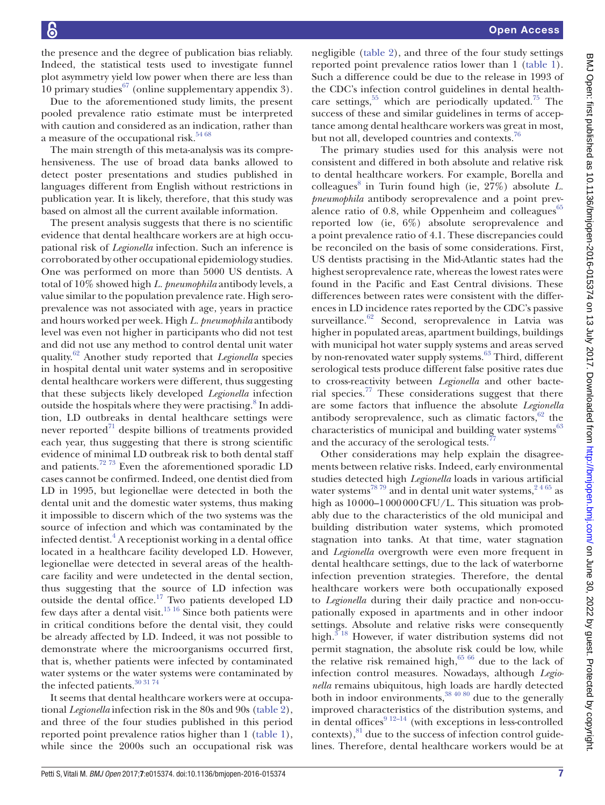the presence and the degree of publication bias reliably. Indeed, the statistical tests used to investigate funnel plot asymmetry yield low power when there are less than 10 primary studies  $67$  (online [supplementary](https://dx.doi.org/10.1136/bmjopen-2016-015374) appendix 3).

Due to the aforementioned study limits, the present pooled prevalence ratio estimate must be interpreted with caution and considered as an indication, rather than a measure of the occupational risk.<sup>[54 68](#page-8-22)</sup>

The main strength of this meta-analysis was its comprehensiveness. The use of broad data banks allowed to detect poster presentations and studies published in languages different from English without restrictions in publication year. It is likely, therefore, that this study was based on almost all the current available information.

The present analysis suggests that there is no scientific evidence that dental healthcare workers are at high occupational risk of *Legionella* infection. Such an inference is corroborated by other occupational epidemiology studies. One was performed on more than 5000 US dentists. A total of 10% showed high *L. pneumophila* antibody levels, a value similar to the population prevalence rate. High seroprevalence was not associated with age, years in practice and hours worked per week. High *L. pneumophila* antibody level was even not higher in participants who did not test and did not use any method to control dental unit water quality.[62](#page-8-38) Another study reported that *Legionella* species in hospital dental unit water systems and in seropositive dental healthcare workers were different, thus suggesting that these subjects likely developed *Legionella* infection outside the hospitals where they were practising.<sup>8</sup> In addition, LD outbreaks in dental healthcare settings were never reported $^{71}$  $^{71}$  $^{71}$  despite billions of treatments provided each year, thus suggesting that there is strong scientific evidence of minimal LD outbreak risk to both dental staff and patients.<sup>72 73</sup> Even the aforementioned sporadic LD cases cannot be confirmed. Indeed, one dentist died from LD in 1995, but legionellae were detected in both the dental unit and the domestic water systems, thus making it impossible to discern which of the two systems was the source of infection and which was contaminated by the infected dentist. $^{4}$  $^{4}$  $^{4}$  A receptionist working in a dental office located in a healthcare facility developed LD. However, legionellae were detected in several areas of the healthcare facility and were undetected in the dental section, thus suggesting that the source of LD infection was outside the dental office.<sup>17</sup> Two patients developed LD few days after a dental visit.<sup>15 16</sup> Since both patients were in critical conditions before the dental visit, they could be already affected by LD. Indeed, it was not possible to demonstrate where the microorganisms occurred first, that is, whether patients were infected by contaminated water systems or the water systems were contaminated by the infected patients.<sup>30 31 74</sup>

It seems that dental healthcare workers were at occupational *Legionella* infection risk in the 80s and 90s ([table](#page-5-1) 2), and three of the four studies published in this period reported point prevalence ratios higher than 1 ([table](#page-4-0) 1), while since the 2000s such an occupational risk was

negligible ([table](#page-5-1) 2), and three of the four study settings reported point prevalence ratios lower than 1 ([table](#page-4-0) 1). Such a difference could be due to the release in 1993 of the CDC's infection control guidelines in dental healthcare settings,  $55$  which are periodically updated.<sup>75</sup> The success of these and similar guidelines in terms of acceptance among dental healthcare workers was great in most, but not all, developed countries and contexts.<sup>76</sup>

The primary studies used for this analysis were not consistent and differed in both absolute and relative risk to dental healthcare workers. For example, Borella and colleagues<sup>8</sup> in Turin found high (ie, 27%) absolute *L*. *pneumophila* antibody seroprevalence and a point prevalence ratio of 0.8, while Oppenheim and colleagues $65$ reported low (ie, 6%) absolute seroprevalence and a point prevalence ratio of 4.1. These discrepancies could be reconciled on the basis of some considerations. First, US dentists practising in the Mid-Atlantic states had the highest seroprevalence rate, whereas the lowest rates were found in the Pacific and East Central divisions. These differences between rates were consistent with the differences in LD incidence rates reported by the CDC's passive surveillance.<sup>[62](#page-8-38)</sup> Second, seroprevalence in Latvia was higher in populated areas, apartment buildings, buildings with municipal hot water supply systems and areas served by non-renovated water supply systems.<sup>63</sup> Third, different serological tests produce different false positive rates due to cross-reactivity between *Legionella* and other bacterial species. $77$  These considerations suggest that there are some factors that influence the absolute *Legionella* antibody seroprevalence, such as climatic factors,  $62$  the characteristics of municipal and building water systems<sup>[63](#page-8-29)</sup> and the accuracy of the serological tests.<sup>4</sup>

Other considerations may help explain the disagreements between relative risks. Indeed, early environmental studies detected high *Legionella* loads in various artificial water systems<sup>78 79</sup> and in dental unit water systems,  $2^{4.65}$  as high as 10000–1000000CFU/L. This situation was probably due to the characteristics of the old municipal and building distribution water systems, which promoted stagnation into tanks. At that time, water stagnation and *Legionella* overgrowth were even more frequent in dental healthcare settings, due to the lack of waterborne infection prevention strategies. Therefore, the dental healthcare workers were both occupationally exposed to *Legionella* during their daily practice and non-occupationally exposed in apartments and in other indoor settings. Absolute and relative risks were consequently high. $3^{3}$ <sup>18</sup> However, if water distribution systems did not permit stagnation, the absolute risk could be low, while the relative risk remained high, $65\,66$  due to the lack of infection control measures. Nowadays, although *Legionella* remains ubiquitous, high loads are hardly detected both in indoor environments,  $38\frac{40\ 80}{90\ 80}$  due to the generally improved characteristics of the distribution systems, and in dental offices $9^{12-14}$  (with exceptions in less-controlled contexts), $81$  due to the success of infection control guidelines. Therefore, dental healthcare workers would be at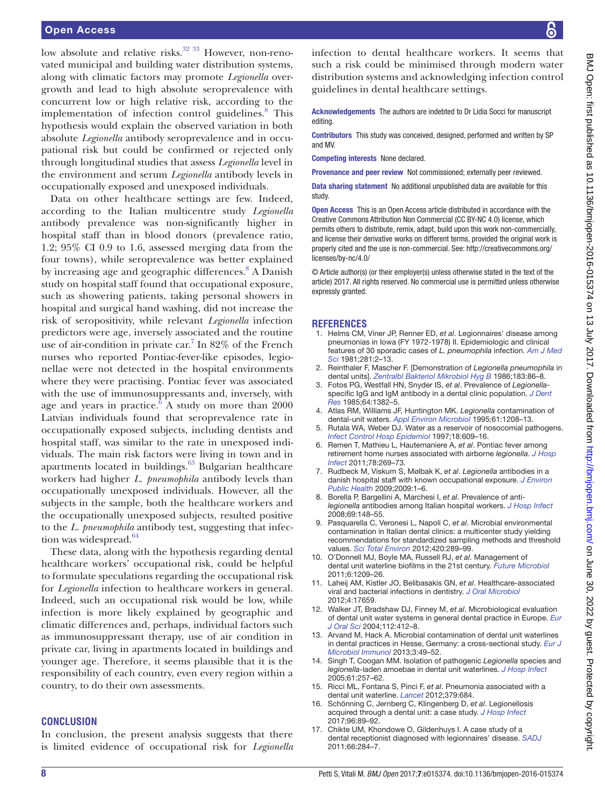## Open Access

low absolute and relative risks.<sup>32</sup> <sup>33</sup> However, non-renovated municipal and building water distribution systems, along with climatic factors may promote *Legionella* overgrowth and lead to high absolute seroprevalence with concurrent low or high relative risk, according to the implementation of infection control guidelines.<sup>8</sup> This hypothesis would explain the observed variation in both absolute *Legionella* antibody seroprevalence and in occupational risk but could be confirmed or rejected only through longitudinal studies that assess *Legionella* level in the environment and serum *Legionella* antibody levels in occupationally exposed and unexposed individuals.

Data on other healthcare settings are few. Indeed, according to the Italian multicentre study *Legionella* antibody prevalence was non-significantly higher in hospital staff than in blood donors (prevalence ratio, 1.2; 95% CI 0.9 to 1.6, assessed merging data from the four towns), while seroprevalence was better explained by increasing age and geographic differences.<sup>[8](#page-7-7)</sup> A Danish study on hospital staff found that occupational exposure, such as showering patients, taking personal showers in hospital and surgical hand washing, did not increase the risk of seropositivity, while relevant *Legionella* infection predictors were age, inversely associated and the routine use of air-condition in private car.<sup>[7](#page-7-6)</sup> In 82% of the French nurses who reported Pontiac-fever-like episodes, legionellae were not detected in the hospital environments where they were practising. Pontiac fever was associated with the use of immunosuppressants and, inversely, with age and years in practice. $6\overline{A}$  $6\overline{A}$  study on more than 2000 Latvian individuals found that seroprevalence rate in occupationally exposed subjects, including dentists and hospital staff, was similar to the rate in unexposed individuals. The main risk factors were living in town and in apartments located in buildings.<sup>63</sup> Bulgarian healthcare workers had higher *L. pneumophila* antibody levels than occupationally unexposed individuals. However, all the subjects in the sample, both the healthcare workers and the occupationally unexposed subjects, resulted positive to the *L. pneumophila* antibody test, suggesting that infec-tion was widespread.<sup>[64](#page-8-39)</sup>

These data, along with the hypothesis regarding dental healthcare workers' occupational risk, could be helpful to formulate speculations regarding the occupational risk for *Legionella* infection to healthcare workers in general. Indeed, such an occupational risk would be low, while infection is more likely explained by geographic and climatic differences and, perhaps, individual factors such as immunosuppressant therapy, use of air condition in private car, living in apartments located in buildings and younger age. Therefore, it seems plausible that it is the responsibility of each country, even every region within a country, to do their own assessments.

#### **Conclusion**

In conclusion, the present analysis suggests that there is limited evidence of occupational risk for *Legionella* infection to dental healthcare workers. It seems that such a risk could be minimised through modern water distribution systems and acknowledging infection control guidelines in dental healthcare settings.

Acknowledgements The authors are indebted to Dr Lidia Socci for manuscript editing.

Contributors This study was conceived, designed, performed and written by SP and MV.

Competing interests None declared.

Provenance and peer review Not commissioned; externally peer reviewed.

Data sharing statement No additional unpublished data are available for this study.

Open Access This is an Open Access article distributed in accordance with the Creative Commons Attribution Non Commercial (CC BY-NC 4.0) license, which permits others to distribute, remix, adapt, build upon this work non-commercially, and license their derivative works on different terms, provided the original work is properly cited and the use is non-commercial. See: [http://creativecommons.org/](http://creativecommons.org/licenses/by-nc/4.0/) [licenses/by-nc/4.0/](http://creativecommons.org/licenses/by-nc/4.0/)

© Article author(s) (or their employer(s) unless otherwise stated in the text of the article) 2017. All rights reserved. No commercial use is permitted unless otherwise expressly granted.

#### **References**

- <span id="page-7-0"></span>1. Helms CM, Viner JP, Renner ED, *et al*. Legionnaires' disease among pneumonias in Iowa (FY 1972-1978) II. Epidemiologic and clinical features of 30 sporadic cases of *L. pneumophila* infection. *[Am J Med](http://dx.doi.org/10.1097/00000441-198101000-00001)  [Sci](http://dx.doi.org/10.1097/00000441-198101000-00001)* 1981;281:2–13.
- <span id="page-7-1"></span>2. Reinthaler F, Mascher F. [Demonstration of *Legionella pneumophila* in dental units]. *Zentralbl Bakteriol Mikrobiol Hyg B* 1986;183:86–8.
- <span id="page-7-2"></span>3. Fotos PG, Westfall HN, Snyder IS, *et al*. Prevalence of *Legionella*specific IgG and IgM antibody in a dental clinic population. *[J Dent](http://dx.doi.org/10.1177/00220345850640121101)  [Res](http://dx.doi.org/10.1177/00220345850640121101)* 1985;64:1382–5.
- <span id="page-7-3"></span>4. Atlas RM, Williams JF, Huntington MK. *Legionella* contamination of dental-unit waters. *Appl Environ Microbiol* 1995;61:1208–13.
- <span id="page-7-4"></span>5. Rutala WA, Weber DJ. Water as a reservoir of nosocomial pathogens. *[Infect Control Hosp Epidemiol](http://dx.doi.org/10.1086/502237)* 1997;18:609–16.
- <span id="page-7-5"></span>6. Remen T, Mathieu L, Hautemaniere A, *et al*. Pontiac fever among retirement home nurses associated with airborne *legionella*. *[J Hosp](http://dx.doi.org/10.1016/j.jhin.2011.03.022)  [Infect](http://dx.doi.org/10.1016/j.jhin.2011.03.022)* 2011;78:269–73.
- <span id="page-7-6"></span>7. Rudbeck M, Viskum S, Mølbak K, *et al*. *Legionella* antibodies in a danish hospital staff with known occupational exposure. *[J Environ](http://dx.doi.org/10.1155/2009/812829)  [Public Health](http://dx.doi.org/10.1155/2009/812829)* 2009;2009:1–6.
- <span id="page-7-7"></span>8. Borella P, Bargellini A, Marchesi I, *et al*. Prevalence of anti*legionella* antibodies among Italian hospital workers. *[J Hosp Infect](http://dx.doi.org/10.1016/j.jhin.2008.03.004)* 2008;69:148–55.
- <span id="page-7-8"></span>9. Pasquarella C, Veronesi L, Napoli C, *et al*. Microbial environmental contamination in Italian dental clinics: a multicenter study yielding recommendations for standardized sampling methods and threshold values. *[Sci Total Environ](http://dx.doi.org/10.1016/j.scitotenv.2012.01.030)* 2012;420:289–99.
- 10. O'Donnell MJ, Boyle MA, Russell RJ, *et al*. Management of dental unit waterline biofilms in the 21st century. *[Future Microbiol](http://dx.doi.org/10.2217/fmb.11.104)* 2011;6:1209–26.
- 11. Laheij AM, Kistler JO, Belibasakis GN, *et al*. Healthcare-associated viral and bacterial infections in dentistry. *[J Oral Microbiol](http://dx.doi.org/10.3402/jom.v4i0.17659)* 2012;4:17659.
- <span id="page-7-9"></span>12. Walker JT, Bradshaw DJ, Finney M, *et al*. Microbiological evaluation of dental unit water systems in general dental practice in Europe. *[Eur](http://dx.doi.org/10.1111/j.1600-0722.2004.00151.x)  [J Oral Sci](http://dx.doi.org/10.1111/j.1600-0722.2004.00151.x)* 2004;112:412–8.
- <span id="page-7-10"></span>13. Arvand M, Hack A. Microbial contamination of dental unit waterlines in dental practices in Hesse, Germany: a cross-sectional study. *[Eur J](http://dx.doi.org/10.1556/EuJMI.3.2013.1.7)  [Microbiol Immunol](http://dx.doi.org/10.1556/EuJMI.3.2013.1.7)* 2013;3:49–52.
- <span id="page-7-11"></span>14. Singh T, Coogan MM. Isolation of pathogenic *Legionella* species and *legionella*-laden amoebae in dental unit waterlines. *[J Hosp Infect](http://dx.doi.org/10.1016/j.jhin.2005.05.001)* 2005;61:257–62.
- <span id="page-7-13"></span>15. Ricci ML, Fontana S, Pinci F, *et al*. Pneumonia associated with a dental unit waterline. *[Lancet](http://dx.doi.org/10.1016/S0140-6736(12)60074-9)* 2012;379:684.
- 16. Schönning C, Jernberg C, Klingenberg D, *et al*. Legionellosis acquired through a dental unit: a case study. *[J Hosp Infect](http://dx.doi.org/10.1016/j.jhin.2017.01.009)* 2017;96:89–92.
- <span id="page-7-12"></span>17. Chikte UM, Khondowe O, Gildenhuys I. A case study of a dental receptionist diagnosed with legionnaires' disease. *SADJ* 2011;66:284–7.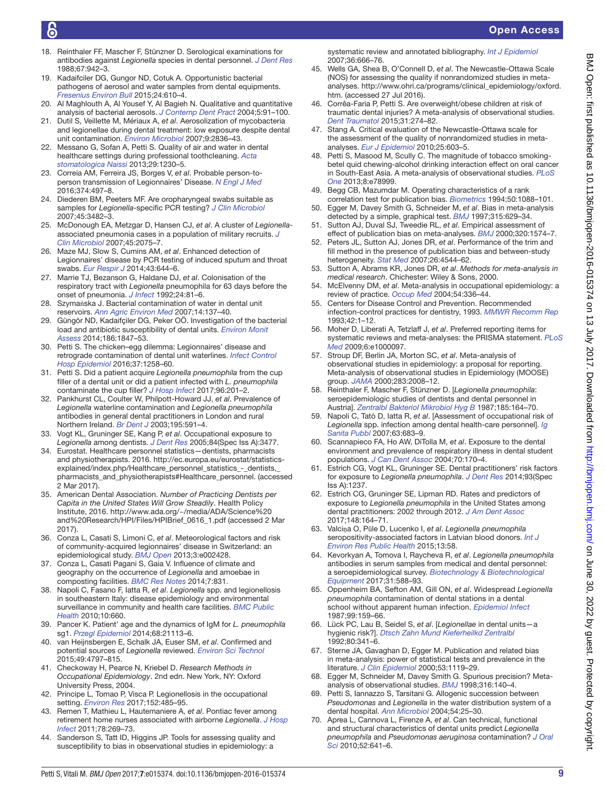- <span id="page-8-31"></span>18. Reinthaler FF, Mascher F, Stünzner D. Serological examinations for antibodies against *Legionella* species in dental personnel. *[J Dent Res](http://dx.doi.org/10.1177/00220345880670061001)* 1988;67:942–3.
- <span id="page-8-0"></span>19. Kadaifciler DG, Gungor ND, Cotuk A. Opportunistic bacterial pathogens of aerosol and water samples from dental equipments. *Fresenius Environ Bull* 2015;24:610–4.
- 20. Al Maghlouth A, Al Yousef Y, Al Bagieh N. Qualitative and quantitative analysis of bacterial aerosols. *J Contemp Dent Pract* 2004;5:91–100.
- 21. Dutil S, Veillette M, Mériaux A, *et al*. Aerosolization of mycobacteria and legionellae during dental treatment: low exposure despite dental unit contamination. *[Environ Microbiol](http://dx.doi.org/10.1111/j.1462-2920.2007.01395.x)* 2007;9:2836–43.
- 22. Messano G, Sofan A, Petti S. Quality of air and water in dental healthcare settings during professional toothcleaning. *[Acta](http://dx.doi.org/10.5937/asn1367230M)  [stomatologica Naissi](http://dx.doi.org/10.5937/asn1367230M)* 2013;29:1230–5.
- <span id="page-8-1"></span>23. Correia AM, Ferreira JS, Borges V, *et al*. Probable person-toperson transmission of Legionnaires' Disease. *[N Engl J Med](http://dx.doi.org/10.1056/NEJMc1505356)* 2016;374:497–8.
- <span id="page-8-2"></span>24. Diederen BM, Peeters MF. Are oropharyngeal swabs suitable as samples for *Legionella*-specific PCR testing? *[J Clin Microbiol](http://dx.doi.org/10.1128/JCM.01495-07)* 2007;45:3482–3.
- 25. McDonough EA, Metzgar D, Hansen CJ, *et al*. A cluster of *Legionella*associated pneumonia cases in a population of military recruits. *[J](http://dx.doi.org/10.1128/JCM.02359-06)  [Clin Microbiol](http://dx.doi.org/10.1128/JCM.02359-06)* 2007;45:2075–7.
- 26. Maze MJ, Slow S, Cumins AM, *et al*. Enhanced detection of Legionnaires' disease by PCR testing of induced sputum and throat swabs. *[Eur Respir J](http://dx.doi.org/10.1183/09031936.00191913)* 2014;43:644–6.
- <span id="page-8-3"></span>27. Marrie TJ, Bezanson G, Haldane DJ, *et al*. Colonisation of the respiratory tract with *Legionella* pneumophila for 63 days before the onset of pneumonia. *[J Infect](http://dx.doi.org/10.1016/0163-4453(92)91094-R)* 1992;24:81–6.
- <span id="page-8-4"></span>28. Szymańska J. Bacterial contamination of water in dental unit reservoirs. *Ann Agric Environ Med* 2007;14:137–40.
- 29. Güngör ND, Kadaifçiler DG, Peker OÖ. Investigation of the bacterial load and antibiotic susceptibility of dental units. *[Environ Monit](http://dx.doi.org/10.1007/s10661-013-3498-3)  [Assess](http://dx.doi.org/10.1007/s10661-013-3498-3)* 2014;186:1847–53.
- <span id="page-8-5"></span>30. Petti S. The chicken–egg dilemma: Legionnaires' disease and retrograde contamination of dental unit waterlines. *[Infect Control](http://dx.doi.org/10.1017/ice.2016.184)  [Hosp Epidemiol](http://dx.doi.org/10.1017/ice.2016.184)* 2016;37:1258–60.
- 31. Petti S. Did a patient acquire *Legionella pneumophila* from the cup filler of a dental unit or did a patient infected with *L. pneumophila* contaminate the cup filler? *[J Hosp Infect](http://dx.doi.org/10.1016/j.jhin.2017.01.014)* 2017;96:201–2.
- <span id="page-8-6"></span>32. Pankhurst CL, Coulter W, Philpott-Howard JJ, *et al*. Prevalence of *Legionella* waterline contamination and *Legionella pneumophila* antibodies in general dental practitioners in London and rural Northern Ireland. *[Br Dent J](http://dx.doi.org/10.1038/sj.bdj.4810735)* 2003;195:591–4.
- <span id="page-8-33"></span>33. Vogt KL, Gruninger SE, Kang P, *et al*. Occupational exposure to *Legionella* among dentists. *J Dent Res* 2005;84(Spec Iss A):3477.
- <span id="page-8-7"></span>34. Eurostat. Healthcare personnel statistics—dentists, pharmacists and physiotherapists. 2016. [http://ec.europa.eu/eurostat/statistics](http://ec.europa.eu/eurostat/statistics-explained/index.php/Healthcare_personnel_statistics_-_dentists,_pharmacists_and_physiotherapists#Healthcare_personnel)[explained/index.php/Healthcare\\_personnel\\_statistics\\_-\\_dentists,\\_](http://ec.europa.eu/eurostat/statistics-explained/index.php/Healthcare_personnel_statistics_-_dentists,_pharmacists_and_physiotherapists#Healthcare_personnel) [pharmacists\\_and\\_physiotherapists#Healthcare\\_personnel.](http://ec.europa.eu/eurostat/statistics-explained/index.php/Healthcare_personnel_statistics_-_dentists,_pharmacists_and_physiotherapists#Healthcare_personnel) (accessed 2 Mar 2017).
- <span id="page-8-8"></span>35. American Dental Association. *Number of Practicing Dentists per Capita in the United States Will Grow Steadily*. Health Policy Institute, 2016. [http://www.ada.org/~/media/ADA/Science%20](http://www.ada.org/~/media/ADA/Science%20and%20Research/HPI/Files/HPIBrief_0616_1.pdf) [and%20Research/HPI/Files/HPIBrief\\_0616\\_1.pdf](http://www.ada.org/~/media/ADA/Science%20and%20Research/HPI/Files/HPIBrief_0616_1.pdf) (accessed 2 Mar 2017).
- <span id="page-8-9"></span>36. Conza L, Casati S, Limoni C, *et al*. Meteorological factors and risk of community-acquired legionnaires' disease in Switzerland: an epidemiological study. *[BMJ Open](http://dx.doi.org/10.1136/bmjopen-2012-002428)* 2013;3:e002428.
- 37. Conza L, Casati Pagani S, Gaia V. Influence of climate and geography on the occurrence of *Legionella* and amoebae in composting facilities. *[BMC Res Notes](http://dx.doi.org/10.1186/1756-0500-7-831)* 2014;7:831.
- <span id="page-8-10"></span>38. Napoli C, Fasano F, Iatta R, *et al*. *Legionella* spp. and legionellosis in southeastern Italy: disease epidemiology and environmental surveillance in community and health care facilities. *[BMC Public](http://dx.doi.org/10.1186/1471-2458-10-660)  [Health](http://dx.doi.org/10.1186/1471-2458-10-660)* 2010;10:660.
- 39. Pancer K. Patient' age and the dynamics of IgM for *L. pneumophila* sg1. *Przegl Epidemiol* 2014;68:21113–6.
- 40. van Heijnsbergen E, Schalk JA, Euser SM, *et al*. Confirmed and potential sources of *Legionella* reviewed. *[Environ Sci Technol](http://dx.doi.org/10.1021/acs.est.5b00142)* 2015;49:4797–815.
- <span id="page-8-11"></span>41. Checkoway H, Pearce N, Kriebel D. *Research Methods in Occupational Epidemiology*. 2nd edn. New York, NY: Oxford University Press, 2004.
- <span id="page-8-12"></span>42. Principe L, Tomao P, Visca P. Legionellosis in the occupational setting. *[Environ Res](http://dx.doi.org/10.1016/j.envres.2016.09.018)* 2017;152:485–95.
- 43. Remen T, Mathieu L, Hautemaniere A, *et al*. Pontiac fever among retirement home nurses associated with airborne *Legionella*. *[J Hosp](http://dx.doi.org/10.1016/j.jhin.2011.03.022)  [Infect](http://dx.doi.org/10.1016/j.jhin.2011.03.022)* 2011;78:269–73.
- <span id="page-8-13"></span>44. Sanderson S, Tatt ID, Higgins JP. Tools for assessing quality and susceptibility to bias in observational studies in epidemiology: a

systematic review and annotated bibliography. *[Int J Epidemiol](http://dx.doi.org/10.1093/ije/dym018)* 2007;36:666–76.

- <span id="page-8-14"></span>45. Wells GA, Shea B, O'Connell D, *et al*. The Newcastle-Ottawa Scale (NOS) for assessing the quality if nonrandomized studies in metaanalyses. [http://www.ohri.ca/programs/clinical\\_epidemiology/oxford.](http://www.ohri.ca/programs/clinical_epidemiology/oxford.htm) [htm.](http://www.ohri.ca/programs/clinical_epidemiology/oxford.htm) (accessed 27 Jul 2016).
- <span id="page-8-15"></span>46. Corrêa-Faria P, Petti S. Are overweight/obese children at risk of traumatic dental injuries? A meta-analysis of observational studies. *[Dent Traumatol](http://dx.doi.org/10.1111/edt.12172)* 2015;31:274–82.
- <span id="page-8-16"></span>47. Stang A. Critical evaluation of the Newcastle-Ottawa scale for the assessment of the quality of nonrandomized studies in metaanalyses. *[Eur J Epidemiol](http://dx.doi.org/10.1007/s10654-010-9491-z)* 2010;25:603–5.
- <span id="page-8-17"></span>48. Petti S, Masood M, Scully C. The magnitude of tobacco smokingbetel quid chewing-alcohol drinking interaction effect on oral cancer in South-East Asia. A meta-analysis of observational studies. *[PLoS](http://dx.doi.org/10.1371/journal.pone.0078999)  [One](http://dx.doi.org/10.1371/journal.pone.0078999)* 2013;8:e78999.
- <span id="page-8-18"></span>49. Begg CB, Mazumdar M. Operating characteristics of a rank correlation test for publication bias. *[Biometrics](http://dx.doi.org/10.2307/2533446)* 1994;50:1088–101.
- <span id="page-8-19"></span>50. Egger M, Davey Smith G, Schneider M, *et al*. Bias in meta-analysis detected by a simple, graphical test. *[BMJ](http://dx.doi.org/10.1136/bmj.315.7109.629)* 1997;315:629–34.
- <span id="page-8-20"></span>51. Sutton AJ, Duval SJ, Tweedie RL, *et al*. Empirical assessment of effect of publication bias on meta-analyses. *[BMJ](http://dx.doi.org/10.1136/bmj.320.7249.1574)* 2000;320:1574–7.
- 52. Peters JL, Sutton AJ, Jones DR, *et al*. Performance of the trim and fill method in the presence of publication bias and between-study heterogeneity. *[Stat Med](http://dx.doi.org/10.1002/sim.2889)* 2007;26:4544–62.
- <span id="page-8-21"></span>53. Sutton A, Abrams KR, Jones DR, *et al*. *Methods for meta-analysis in medical research*. Chichester: Wiley & Sons, 2000.
- <span id="page-8-22"></span>54. McElvenny DM, *et al*. Meta-analysis in occupational epidemiology: a review of practice. *[Occup Med](http://dx.doi.org/10.1093/occmed/kqh049)* 2004;54:336–44.
- <span id="page-8-23"></span>55. Centers for Disease Control and Prevention. Recommended infection-control practices for dentistry, 1993. *MMWR Recomm Rep* 1993;42:1–12.
- <span id="page-8-24"></span>56. Moher D, Liberati A, Tetzlaff J, *et al*. Preferred reporting items for systematic reviews and meta-analyses: the PRISMA statement. *[PLoS](http://dx.doi.org/10.1371/journal.pmed.1000097)  [Med](http://dx.doi.org/10.1371/journal.pmed.1000097)* 2009;6:e1000097.
- <span id="page-8-25"></span>57. Stroup DF, Berlin JA, Morton SC, *et al*. Meta-analysis of observational studies in epidemiology: a proposal for reporting. Meta-analysis of observational studies in Epidemiology (MOOSE) group. *JAMA* 2000;283:2008–12.
- <span id="page-8-26"></span>58. Reinthaler F, Mascher F, Stünzner D. [*Legionella pneumophila*: seroepidemiologic studies of dentists and dental personnel in Austria]. *Zentralbl Bakteriol Mikrobiol Hyg B* 1987;185:164–70.
- 59. Napoli C, Tatò D, Iatta R, *et al*. [Assessment of occupational risk of *Legionella* spp. infection among dental health-care personnel]. *Ig Sanita Pubbl* 2007;63:683–9.
- <span id="page-8-27"></span>60. Scannapieco FA, Ho AW, DiTolla M, *et al*. Exposure to the dental environment and prevalence of respiratory illness in dental student populations. *J Can Dent Assoc* 2004;70:170–4.
- <span id="page-8-28"></span>61. Estrich CG, Vogt KL, Gruninger SE. Dental practitioners' risk factors for exposure to *Legionella pneumophila*. *J Dent Res* 2014;93(Spec Iss A):1237.
- <span id="page-8-38"></span>62. Estrich CG, Gruninger SE, Lipman RD. Rates and predictors of exposure to *Legionella pneumophila* in the United States among dental practitioners: 2002 through 2012. *[J Am Dent Assoc](http://dx.doi.org/10.1016/j.adaj.2016.11.032)* 2017;148:164–71.
- <span id="page-8-29"></span>63. Valciņa O, Pūle D, Lucenko I, *et al*. *Legionella pneumophila* seropositivity-associated factors in Latvian blood donors. *[Int J](http://dx.doi.org/10.3390/ijerph13010058)  [Environ Res Public Health](http://dx.doi.org/10.3390/ijerph13010058)* 2015;13:58.
- <span id="page-8-39"></span>64. Kevorkyan A, Tomova I, Raycheva R, *et al*. *Legionella pneumophila* antibodies in serum samples from medical and dental personnel: a seroepidemiological survey. *[Biotechnology & Biotechnological](http://dx.doi.org/10.1080/13102818.2017.1290549)  [Equipment](http://dx.doi.org/10.1080/13102818.2017.1290549)* 2017;31:588–93.
- <span id="page-8-30"></span>65. Oppenheim BA, Sefton AM, Gill ON, *et al*. Widespread *Legionella pneumophila* contamination of dental stations in a dental school without apparent human infection. *[Epidemiol Infect](http://dx.doi.org/10.1017/S095026880006698X)* 1987;99:159–66.
- <span id="page-8-32"></span>66. Lück PC, Lau B, Seidel S, *et al*. [*Legionellae* in dental units—a hygienic risk?]. *Dtsch Zahn Mund Kieferheilkd Zentralbl* 1992;80:341–6.
- <span id="page-8-34"></span>67. Sterne JA, Gavaghan D, Egger M. Publication and related bias in meta-analysis: power of statistical tests and prevalence in the literature. *J Clin Epidemiol* 2000;53:1119–29.
- <span id="page-8-35"></span>68. Egger M, Schneider M, Davey Smith G. Spurious precision? Metaanalysis of observational studies. *[BMJ](http://dx.doi.org/10.1136/bmj.316.7125.140)* 1998;316:140–4.
- <span id="page-8-36"></span>69. Petti S, Iannazzo S, Tarsitani G. Allogenic succession between *Pseudomonas* and *Legionella* in the water distribution system of a dental hospital. *Ann Microbiol* 2004;54:25–30.
- <span id="page-8-37"></span>70. Aprea L, Cannova L, Firenze A, *et al*. Can technical, functional and structural characteristics of dental units predict *Legionella pneumophila* and *Pseudomonas aeruginosa* contamination? *[J Oral](http://dx.doi.org/10.2334/josnusd.52.641)  [Sci](http://dx.doi.org/10.2334/josnusd.52.641)* 2010;52:641–6.